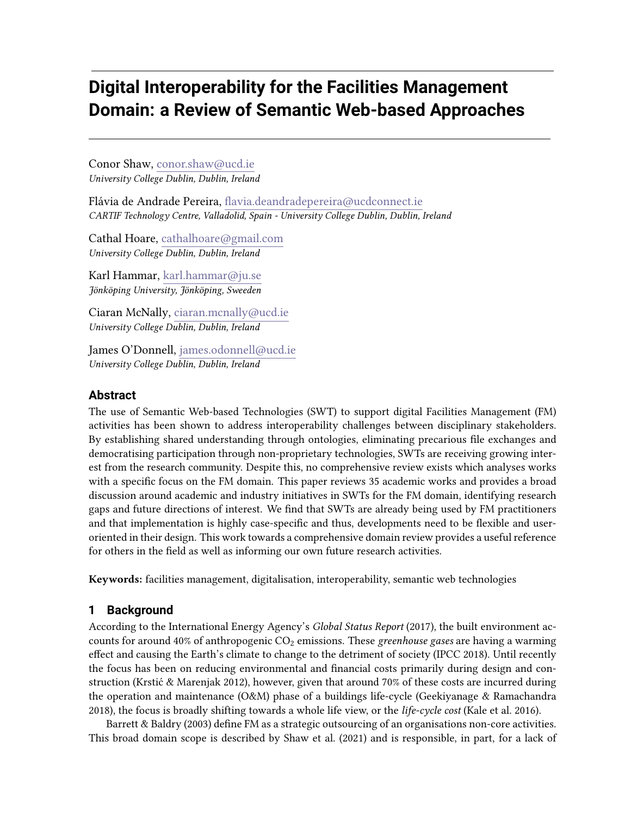# **Digital Interoperability for the Facilities Management Domain: a Review of Semantic Web-based Approaches**

Conor Shaw, conor.shaw@ucd.ie University College Dublin, Dublin, Ireland

Flávia de Andrade Pereira, flavia.deandradepereira@ucdconnect.ie CARTIF Technology Centre, Valladolid, Spain - University College Dublin, Dublin, Ireland

Cathal Hoare, cathalhoare@gmail.com University College Dublin, Dublin, Ireland

Karl Hammar, karl.hammar@ju.se Jönköping University, Jönköping, Sweeden

Ciaran McNally, ciaran.mcnally@ucd.ie University College Dublin, Dublin, Ireland

James O'Donnell, james.odonnell@ucd.ie University College Dublin, Dublin, Ireland

## **Abstract**

The use of Semantic Web-based Technologies (SWT) to support digital Facilities Management (FM) activities has been shown to address interoperability challenges between disciplinary stakeholders. By establishing shared understanding through ontologies, eliminating precarious file exchanges and democratising participation through non-proprietary technologies, SWTs are receiving growing interest from the research community. Despite this, no comprehensive review exists which analyses works with a specific focus on the FM domain. This paper reviews 35 academic works and provides a broad discussion around academic and industry initiatives in SWTs for the FM domain, identifying research gaps and future directions of interest. We find that SWTs are already being used by FM practitioners and that implementation is highly case-specific and thus, developments need to be flexible and useroriented in their design. This work towards a comprehensive domain review provides a useful reference for others in the field as well as informing our own future research activities.

Keywords: facilities management, digitalisation, interoperability, semantic web technologies

# **1 Background**

According to the International Energy Agency's Global Status Report (2017), the built environment accounts for around 40% of anthropogenic  $CO<sub>2</sub>$  emissions. These greenhouse gases are having a warming effect and causing the Earth's climate to change to the detriment of society (IPCC 2018). Until recently the focus has been on reducing environmental and financial costs primarily during design and construction (Krstić & Marenjak 2012), however, given that around 70% of these costs are incurred during the operation and maintenance (O&M) phase of a buildings life-cycle (Geekiyanage & Ramachandra 2018), the focus is broadly shifting towards a whole life view, or the life-cycle cost (Kale et al. 2016).

Barrett & Baldry (2003) define FM as a strategic outsourcing of an organisations non-core activities. This broad domain scope is described by Shaw et al. (2021) and is responsible, in part, for a lack of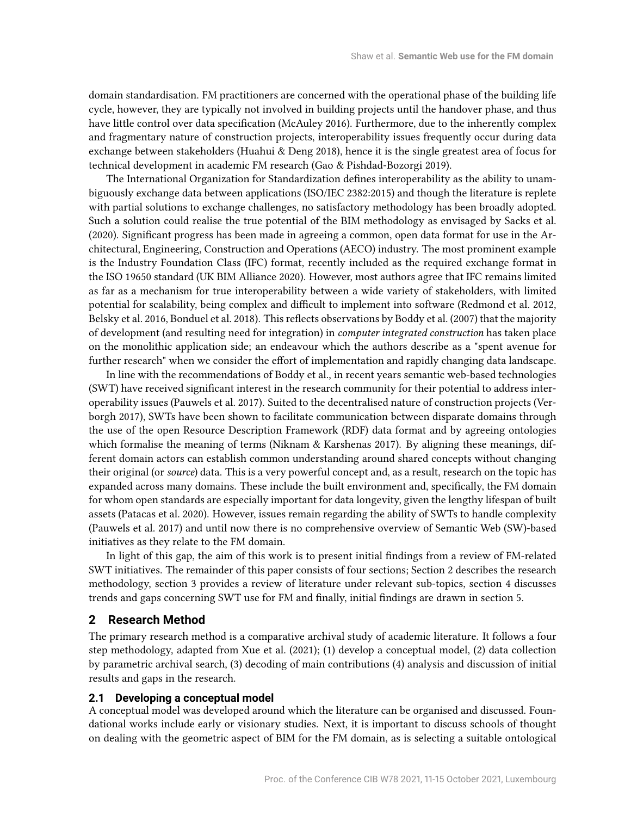domain standardisation. FM practitioners are concerned with the operational phase of the building life cycle, however, they are typically not involved in building projects until the handover phase, and thus have little control over data specification (McAuley 2016). Furthermore, due to the inherently complex and fragmentary nature of construction projects, interoperability issues frequently occur during data exchange between stakeholders (Huahui & Deng 2018), hence it is the single greatest area of focus for technical development in academic FM research (Gao & Pishdad-Bozorgi 2019).

The International Organization for Standardization defines interoperability as the ability to unambiguously exchange data between applications (ISO/IEC 2382:2015) and though the literature is replete with partial solutions to exchange challenges, no satisfactory methodology has been broadly adopted. Such a solution could realise the true potential of the BIM methodology as envisaged by Sacks et al. (2020). Signicant progress has been made in agreeing a common, open data format for use in the Architectural, Engineering, Construction and Operations (AECO) industry. The most prominent example is the Industry Foundation Class (IFC) format, recently included as the required exchange format in the ISO 19650 standard (UK BIM Alliance 2020). However, most authors agree that IFC remains limited as far as a mechanism for true interoperability between a wide variety of stakeholders, with limited potential for scalability, being complex and difficult to implement into software (Redmond et al. 2012, Belsky et al. 2016, Bonduel et al. 2018). This reflects observations by Boddy et al. (2007) that the majority of development (and resulting need for integration) in computer integrated construction has taken place on the monolithic application side; an endeavour which the authors describe as a "spent avenue for further research" when we consider the effort of implementation and rapidly changing data landscape.

In line with the recommendations of Boddy et al., in recent years semantic web-based technologies (SWT) have received signicant interest in the research community for their potential to address interoperability issues (Pauwels et al. 2017). Suited to the decentralised nature of construction projects (Verborgh 2017), SWTs have been shown to facilitate communication between disparate domains through the use of the open Resource Description Framework (RDF) data format and by agreeing ontologies which formalise the meaning of terms (Niknam & Karshenas 2017). By aligning these meanings, different domain actors can establish common understanding around shared concepts without changing their original (or source) data. This is a very powerful concept and, as a result, research on the topic has expanded across many domains. These include the built environment and, specifically, the FM domain for whom open standards are especially important for data longevity, given the lengthy lifespan of built assets (Patacas et al. 2020). However, issues remain regarding the ability of SWTs to handle complexity (Pauwels et al. 2017) and until now there is no comprehensive overview of Semantic Web (SW)-based initiatives as they relate to the FM domain.

In light of this gap, the aim of this work is to present initial findings from a review of FM-related SWT initiatives. The remainder of this paper consists of four sections; Section 2 describes the research methodology, section 3 provides a review of literature under relevant sub-topics, section 4 discusses trends and gaps concerning SWT use for FM and finally, initial findings are drawn in section 5.

## **2 Research Method**

The primary research method is a comparative archival study of academic literature. It follows a four step methodology, adapted from Xue et al. (2021); (1) develop a conceptual model, (2) data collection by parametric archival search, (3) decoding of main contributions (4) analysis and discussion of initial results and gaps in the research.

## **2.1 Developing a conceptual model**

A conceptual model was developed around which the literature can be organised and discussed. Foundational works include early or visionary studies. Next, it is important to discuss schools of thought on dealing with the geometric aspect of BIM for the FM domain, as is selecting a suitable ontological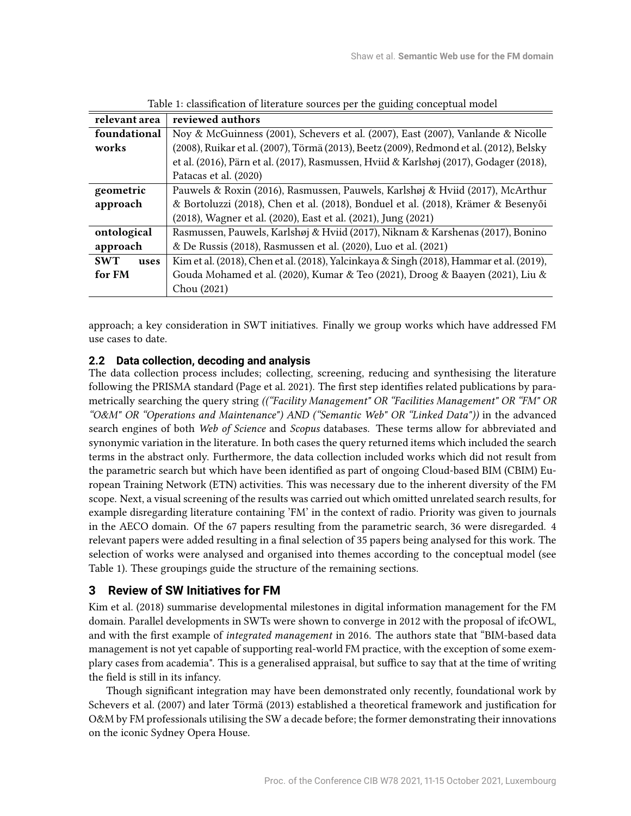| relevant area      | reviewed authors                                                                        |
|--------------------|-----------------------------------------------------------------------------------------|
| foundational       | Noy & McGuinness (2001), Schevers et al. (2007), East (2007), Vanlande & Nicolle        |
| works              | (2008), Ruikar et al. (2007), Törmä (2013), Beetz (2009), Redmond et al. (2012), Belsky |
|                    | et al. (2016), Pärn et al. (2017), Rasmussen, Hviid & Karlshøj (2017), Godager (2018),  |
|                    | Patacas et al. (2020)                                                                   |
| geometric          | Pauwels & Roxin (2016), Rasmussen, Pauwels, Karlshøj & Hviid (2017), McArthur           |
| approach           | & Bortoluzzi (2018), Chen et al. (2018), Bonduel et al. (2018), Krämer & Besenyői       |
|                    | (2018), Wagner et al. (2020), East et al. (2021), Jung (2021)                           |
| ontological        | Rasmussen, Pauwels, Karlshøj & Hviid (2017), Niknam & Karshenas (2017), Bonino          |
| approach           | & De Russis (2018), Rasmussen et al. (2020), Luo et al. (2021)                          |
| <b>SWT</b><br>uses | Kim et al. (2018), Chen et al. (2018), Yalcinkaya & Singh (2018), Hammar et al. (2019), |
| for FM             | Gouda Mohamed et al. (2020), Kumar & Teo (2021), Droog & Baayen (2021), Liu &           |
|                    | Chou (2021)                                                                             |

Table 1: classification of literature sources per the guiding conceptual model

approach; a key consideration in SWT initiatives. Finally we group works which have addressed FM use cases to date.

## **2.2 Data collection, decoding and analysis**

The data collection process includes; collecting, screening, reducing and synthesising the literature following the PRISMA standard (Page et al. 2021). The first step identifies related publications by parametrically searching the query string (("Facility Management" OR "Facilities Management" OR "FM" OR "O&M" OR "Operations and Maintenance") AND ("Semantic Web" OR "Linked Data")) in the advanced search engines of both Web of Science and Scopus databases. These terms allow for abbreviated and synonymic variation in the literature. In both cases the query returned items which included the search terms in the abstract only. Furthermore, the data collection included works which did not result from the parametric search but which have been identified as part of ongoing Cloud-based BIM (CBIM) European Training Network (ETN) activities. This was necessary due to the inherent diversity of the FM scope. Next, a visual screening of the results was carried out which omitted unrelated search results, for example disregarding literature containing 'FM' in the context of radio. Priority was given to journals in the AECO domain. Of the 67 papers resulting from the parametric search, 36 were disregarded. 4 relevant papers were added resulting in a final selection of 35 papers being analysed for this work. The selection of works were analysed and organised into themes according to the conceptual model (see Table 1). These groupings guide the structure of the remaining sections.

# **3 Review of SW Initiatives for FM**

Kim et al. (2018) summarise developmental milestones in digital information management for the FM domain. Parallel developments in SWTs were shown to converge in 2012 with the proposal of ifcOWL, and with the first example of integrated management in 2016. The authors state that "BIM-based data management is not yet capable of supporting real-world FM practice, with the exception of some exemplary cases from academia". This is a generalised appraisal, but suffice to say that at the time of writing the field is still in its infancy.

Though significant integration may have been demonstrated only recently, foundational work by Schevers et al. (2007) and later Törmä (2013) established a theoretical framework and justification for O&M by FM professionals utilising the SW a decade before; the former demonstrating their innovations on the iconic Sydney Opera House.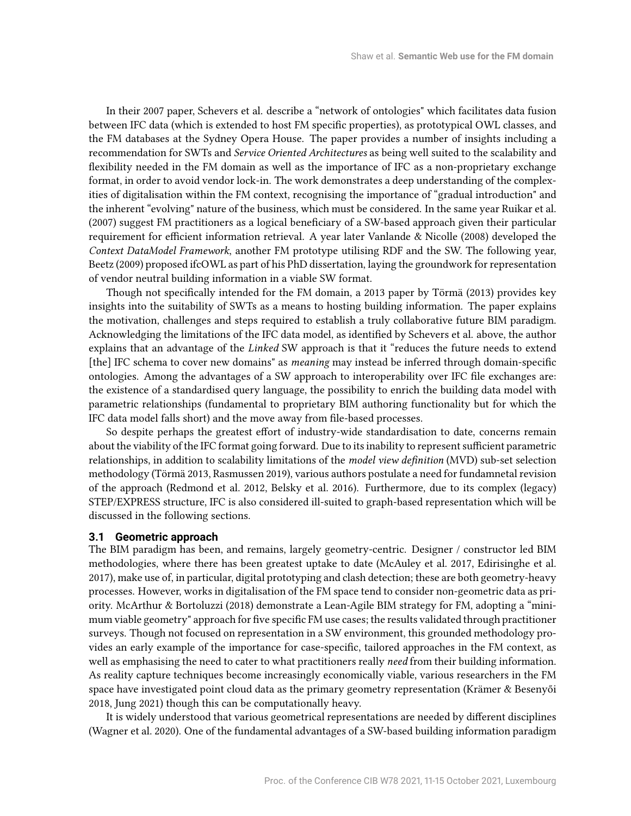In their 2007 paper, Schevers et al. describe a "network of ontologies" which facilitates data fusion between IFC data (which is extended to host FM specific properties), as prototypical OWL classes, and the FM databases at the Sydney Opera House. The paper provides a number of insights including a recommendation for SWTs and Service Oriented Architectures as being well suited to the scalability and flexibility needed in the FM domain as well as the importance of IFC as a non-proprietary exchange format, in order to avoid vendor lock-in. The work demonstrates a deep understanding of the complexities of digitalisation within the FM context, recognising the importance of "gradual introduction" and the inherent "evolving" nature of the business, which must be considered. In the same year Ruikar et al. (2007) suggest FM practitioners as a logical beneficiary of a SW-based approach given their particular requirement for efficient information retrieval. A year later Vanlande & Nicolle (2008) developed the Context DataModel Framework, another FM prototype utilising RDF and the SW. The following year, Beetz (2009) proposed ifcOWL as part of his PhD dissertation, laying the groundwork for representation of vendor neutral building information in a viable SW format.

Though not specifically intended for the FM domain, a 2013 paper by Törmä (2013) provides key insights into the suitability of SWTs as a means to hosting building information. The paper explains the motivation, challenges and steps required to establish a truly collaborative future BIM paradigm. Acknowledging the limitations of the IFC data model, as identified by Schevers et al. above, the author explains that an advantage of the Linked SW approach is that it "reduces the future needs to extend [the] IFC schema to cover new domains" as *meaning* may instead be inferred through domain-specific ontologies. Among the advantages of a SW approach to interoperability over IFC le exchanges are: the existence of a standardised query language, the possibility to enrich the building data model with parametric relationships (fundamental to proprietary BIM authoring functionality but for which the IFC data model falls short) and the move away from file-based processes.

So despite perhaps the greatest effort of industry-wide standardisation to date, concerns remain about the viability of the IFC format going forward. Due to its inability to represent sufficient parametric relationships, in addition to scalability limitations of the model view definition (MVD) sub-set selection methodology (Törmä 2013, Rasmussen 2019), various authors postulate a need for fundamnetal revision of the approach (Redmond et al. 2012, Belsky et al. 2016). Furthermore, due to its complex (legacy) STEP/EXPRESS structure, IFC is also considered ill-suited to graph-based representation which will be discussed in the following sections.

#### **3.1 Geometric approach**

The BIM paradigm has been, and remains, largely geometry-centric. Designer / constructor led BIM methodologies, where there has been greatest uptake to date (McAuley et al. 2017, Edirisinghe et al. 2017), make use of, in particular, digital prototyping and clash detection; these are both geometry-heavy processes. However, works in digitalisation of the FM space tend to consider non-geometric data as priority. McArthur & Bortoluzzi (2018) demonstrate a Lean-Agile BIM strategy for FM, adopting a "minimum viable geometry" approach for five specific FM use cases; the results validated through practitioner surveys. Though not focused on representation in a SW environment, this grounded methodology provides an early example of the importance for case-specific, tailored approaches in the FM context, as well as emphasising the need to cater to what practitioners really need from their building information. As reality capture techniques become increasingly economically viable, various researchers in the FM space have investigated point cloud data as the primary geometry representation (Krämer & Besenyői 2018, Jung 2021) though this can be computationally heavy.

It is widely understood that various geometrical representations are needed by different disciplines (Wagner et al. 2020). One of the fundamental advantages of a SW-based building information paradigm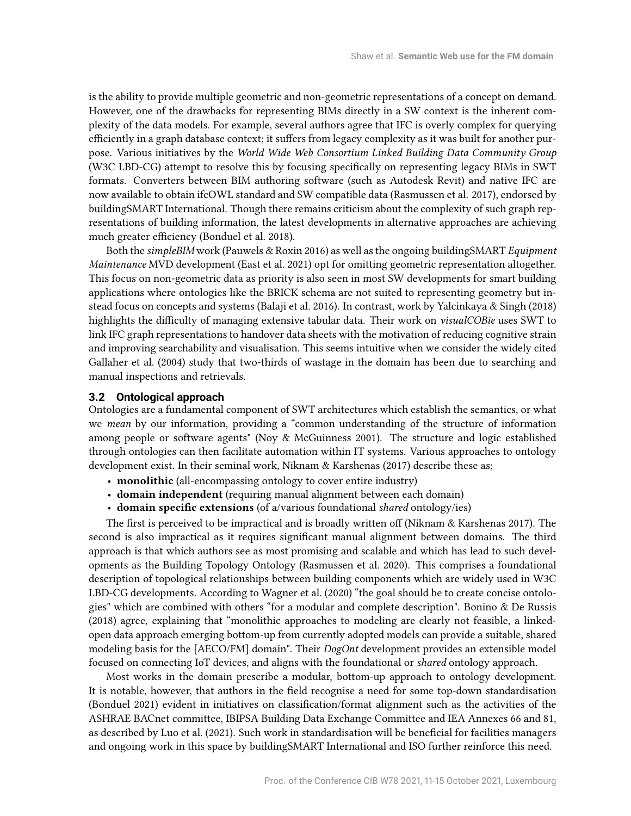is the ability to provide multiple geometric and non-geometric representations of a concept on demand. However, one of the drawbacks for representing BIMs directly in a SW context is the inherent complexity of the data models. For example, several authors agree that IFC is overly complex for querying efficiently in a graph database context; it suffers from legacy complexity as it was built for another purpose. Various initiatives by the World Wide Web Consortium Linked Building Data Community Group (W3C LBD-CG) attempt to resolve this by focusing specifically on representing legacy BIMs in SWT formats. Converters between BIM authoring software (such as Autodesk Revit) and native IFC are now available to obtain ifcOWL standard and SW compatible data (Rasmussen et al. 2017), endorsed by buildingSMART International. Though there remains criticism about the complexity of such graph representations of building information, the latest developments in alternative approaches are achieving much greater efficiency (Bonduel et al. 2018).

Both the simpleBIM work (Pauwels & Roxin 2016) as well as the ongoing buildingSMART Equipment Maintenance MVD development (East et al. 2021) opt for omitting geometric representation altogether. This focus on non-geometric data as priority is also seen in most SW developments for smart building applications where ontologies like the BRICK schema are not suited to representing geometry but instead focus on concepts and systems (Balaji et al. 2016). In contrast, work by Yalcinkaya & Singh (2018) highlights the difficulty of managing extensive tabular data. Their work on *visualCOBie* uses SWT to link IFC graph representations to handover data sheets with the motivation of reducing cognitive strain and improving searchability and visualisation. This seems intuitive when we consider the widely cited Gallaher et al. (2004) study that two-thirds of wastage in the domain has been due to searching and manual inspections and retrievals.

#### **3.2 Ontological approach**

Ontologies are a fundamental component of SWT architectures which establish the semantics, or what we mean by our information, providing a "common understanding of the structure of information among people or software agents" (Noy & McGuinness 2001). The structure and logic established through ontologies can then facilitate automation within IT systems. Various approaches to ontology development exist. In their seminal work, Niknam & Karshenas (2017) describe these as;

- monolithic (all-encompassing ontology to cover entire industry)
- domain independent (requiring manual alignment between each domain)
- domain specific extensions (of a/various foundational shared ontology/ies)

The first is perceived to be impractical and is broadly written off (Niknam & Karshenas 2017). The second is also impractical as it requires significant manual alignment between domains. The third approach is that which authors see as most promising and scalable and which has lead to such developments as the Building Topology Ontology (Rasmussen et al. 2020). This comprises a foundational description of topological relationships between building components which are widely used in W3C LBD-CG developments. According to Wagner et al. (2020) "the goal should be to create concise ontologies" which are combined with others "for a modular and complete description". Bonino & De Russis (2018) agree, explaining that "monolithic approaches to modeling are clearly not feasible, a linkedopen data approach emerging bottom-up from currently adopted models can provide a suitable, shared modeling basis for the [AECO/FM] domain". Their *DogOnt* development provides an extensible model focused on connecting IoT devices, and aligns with the foundational or shared ontology approach.

Most works in the domain prescribe a modular, bottom-up approach to ontology development. It is notable, however, that authors in the field recognise a need for some top-down standardisation (Bonduel 2021) evident in initiatives on classification/format alignment such as the activities of the ASHRAE BACnet committee, IBIPSA Building Data Exchange Committee and IEA Annexes 66 and 81, as described by Luo et al. (2021). Such work in standardisation will be beneficial for facilities managers and ongoing work in this space by buildingSMART International and ISO further reinforce this need.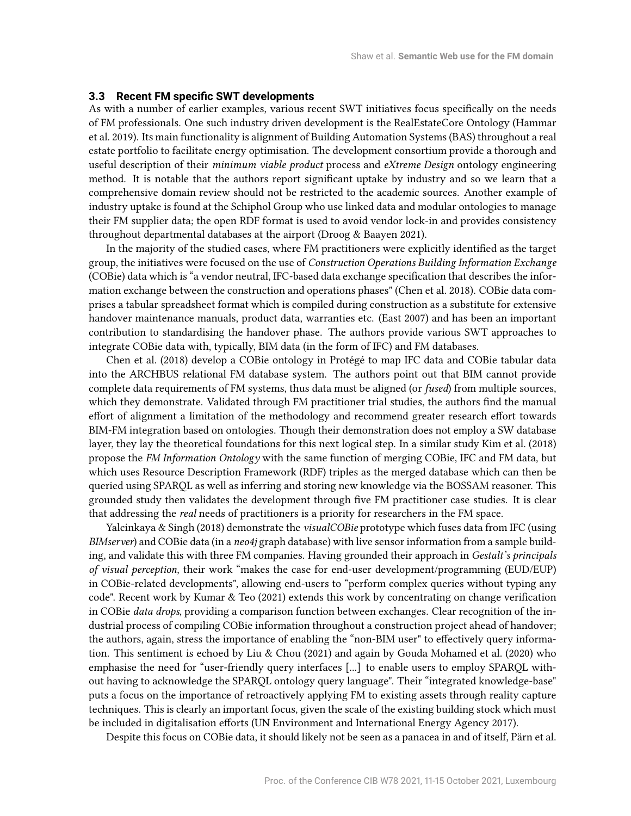#### **3.3 Recent FM specific SWT developments**

As with a number of earlier examples, various recent SWT initiatives focus specifically on the needs of FM professionals. One such industry driven development is the RealEstateCore Ontology (Hammar et al. 2019). Its main functionality is alignment of Building Automation Systems (BAS) throughout a real estate portfolio to facilitate energy optimisation. The development consortium provide a thorough and useful description of their minimum viable product process and eXtreme Design ontology engineering method. It is notable that the authors report significant uptake by industry and so we learn that a comprehensive domain review should not be restricted to the academic sources. Another example of industry uptake is found at the Schiphol Group who use linked data and modular ontologies to manage their FM supplier data; the open RDF format is used to avoid vendor lock-in and provides consistency throughout departmental databases at the airport (Droog & Baayen 2021).

In the majority of the studied cases, where FM practitioners were explicitly identified as the target group, the initiatives were focused on the use of Construction Operations Building Information Exchange (COBie) data which is "a vendor neutral, IFC-based data exchange specication that describes the information exchange between the construction and operations phases" (Chen et al. 2018). COBie data comprises a tabular spreadsheet format which is compiled during construction as a substitute for extensive handover maintenance manuals, product data, warranties etc. (East 2007) and has been an important contribution to standardising the handover phase. The authors provide various SWT approaches to integrate COBie data with, typically, BIM data (in the form of IFC) and FM databases.

Chen et al. (2018) develop a COBie ontology in Protégé to map IFC data and COBie tabular data into the ARCHBUS relational FM database system. The authors point out that BIM cannot provide complete data requirements of FM systems, thus data must be aligned (or fused) from multiple sources, which they demonstrate. Validated through FM practitioner trial studies, the authors find the manual effort of alignment a limitation of the methodology and recommend greater research effort towards BIM-FM integration based on ontologies. Though their demonstration does not employ a SW database layer, they lay the theoretical foundations for this next logical step. In a similar study Kim et al. (2018) propose the FM Information Ontology with the same function of merging COBie, IFC and FM data, but which uses Resource Description Framework (RDF) triples as the merged database which can then be queried using SPARQL as well as inferring and storing new knowledge via the BOSSAM reasoner. This grounded study then validates the development through five FM practitioner case studies. It is clear that addressing the real needs of practitioners is a priority for researchers in the FM space.

Yalcinkaya & Singh (2018) demonstrate the *visualCOBie* prototype which fuses data from IFC (using BIMserver) and COBie data (in a neo4j graph database) with live sensor information from a sample building, and validate this with three FM companies. Having grounded their approach in Gestalt's principals of visual perception, their work "makes the case for end-user development/programming (EUD/EUP) in COBie-related developments", allowing end-users to "perform complex queries without typing any code". Recent work by Kumar & Teo (2021) extends this work by concentrating on change verification in COBie data drops, providing a comparison function between exchanges. Clear recognition of the industrial process of compiling COBie information throughout a construction project ahead of handover; the authors, again, stress the importance of enabling the "non-BIM user" to effectively query information. This sentiment is echoed by Liu & Chou (2021) and again by Gouda Mohamed et al. (2020) who emphasise the need for "user-friendly query interfaces [...] to enable users to employ SPARQL without having to acknowledge the SPARQL ontology query language". Their "integrated knowledge-base" puts a focus on the importance of retroactively applying FM to existing assets through reality capture techniques. This is clearly an important focus, given the scale of the existing building stock which must be included in digitalisation efforts (UN Environment and International Energy Agency 2017).

Despite this focus on COBie data, it should likely not be seen as a panacea in and of itself, Pärn et al.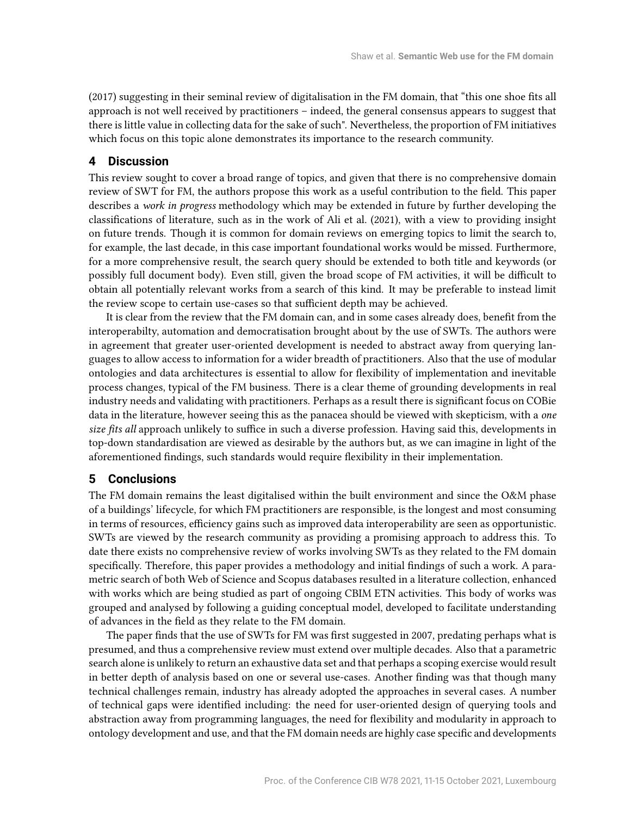(2017) suggesting in their seminal review of digitalisation in the FM domain, that "this one shoe fits all approach is not well received by practitioners – indeed, the general consensus appears to suggest that there is little value in collecting data for the sake of such". Nevertheless, the proportion of FM initiatives which focus on this topic alone demonstrates its importance to the research community.

## **4 Discussion**

This review sought to cover a broad range of topics, and given that there is no comprehensive domain review of SWT for FM, the authors propose this work as a useful contribution to the field. This paper describes a work in progress methodology which may be extended in future by further developing the classifications of literature, such as in the work of Ali et al. (2021), with a view to providing insight on future trends. Though it is common for domain reviews on emerging topics to limit the search to, for example, the last decade, in this case important foundational works would be missed. Furthermore, for a more comprehensive result, the search query should be extended to both title and keywords (or possibly full document body). Even still, given the broad scope of FM activities, it will be difficult to obtain all potentially relevant works from a search of this kind. It may be preferable to instead limit the review scope to certain use-cases so that sufficient depth may be achieved.

It is clear from the review that the FM domain can, and in some cases already does, benefit from the interoperabilty, automation and democratisation brought about by the use of SWTs. The authors were in agreement that greater user-oriented development is needed to abstract away from querying languages to allow access to information for a wider breadth of practitioners. Also that the use of modular ontologies and data architectures is essential to allow for flexibility of implementation and inevitable process changes, typical of the FM business. There is a clear theme of grounding developments in real industry needs and validating with practitioners. Perhaps as a result there is significant focus on COBie data in the literature, however seeing this as the panacea should be viewed with skepticism, with a one size fits all approach unlikely to suffice in such a diverse profession. Having said this, developments in top-down standardisation are viewed as desirable by the authors but, as we can imagine in light of the aforementioned findings, such standards would require flexibility in their implementation.

### **5 Conclusions**

The FM domain remains the least digitalised within the built environment and since the O&M phase of a buildings' lifecycle, for which FM practitioners are responsible, is the longest and most consuming in terms of resources, efficiency gains such as improved data interoperability are seen as opportunistic. SWTs are viewed by the research community as providing a promising approach to address this. To date there exists no comprehensive review of works involving SWTs as they related to the FM domain specifically. Therefore, this paper provides a methodology and initial findings of such a work. A parametric search of both Web of Science and Scopus databases resulted in a literature collection, enhanced with works which are being studied as part of ongoing CBIM ETN activities. This body of works was grouped and analysed by following a guiding conceptual model, developed to facilitate understanding of advances in the field as they relate to the FM domain.

The paper finds that the use of SWTs for FM was first suggested in 2007, predating perhaps what is presumed, and thus a comprehensive review must extend over multiple decades. Also that a parametric search alone is unlikely to return an exhaustive data set and that perhaps a scoping exercise would result in better depth of analysis based on one or several use-cases. Another finding was that though many technical challenges remain, industry has already adopted the approaches in several cases. A number of technical gaps were identified including: the need for user-oriented design of querying tools and abstraction away from programming languages, the need for flexibility and modularity in approach to ontology development and use, and that the FM domain needs are highly case specific and developments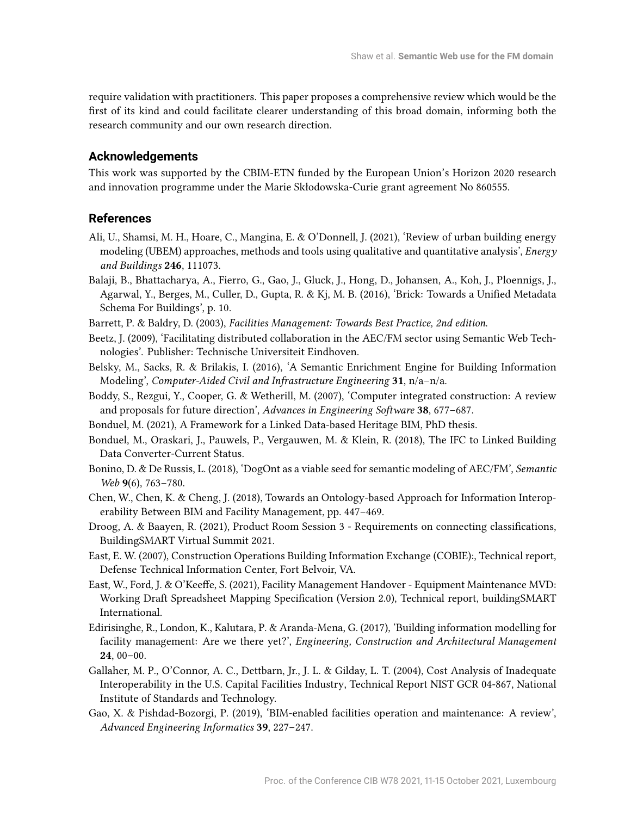require validation with practitioners. This paper proposes a comprehensive review which would be the first of its kind and could facilitate clearer understanding of this broad domain, informing both the research community and our own research direction.

#### **Acknowledgements**

This work was supported by the CBIM-ETN funded by the European Union's Horizon 2020 research and innovation programme under the Marie Skłodowska-Curie grant agreement No 860555.

## **References**

- Ali, U., Shamsi, M. H., Hoare, C., Mangina, E. & O'Donnell, J. (2021), 'Review of urban building energy modeling (UBEM) approaches, methods and tools using qualitative and quantitative analysis', Energy and Buildings 246, 111073.
- Balaji, B., Bhattacharya, A., Fierro, G., Gao, J., Gluck, J., Hong, D., Johansen, A., Koh, J., Ploennigs, J., Agarwal, Y., Berges, M., Culler, D., Gupta, R. & Kj, M. B. (2016), 'Brick: Towards a Unified Metadata Schema For Buildings', p. 10.
- Barrett, P. & Baldry, D. (2003), Facilities Management: Towards Best Practice, 2nd edition.
- Beetz, J. (2009), 'Facilitating distributed collaboration in the AEC/FM sector using Semantic Web Technologies'. Publisher: Technische Universiteit Eindhoven.
- Belsky, M., Sacks, R. & Brilakis, I. (2016), 'A Semantic Enrichment Engine for Building Information Modeling', Computer-Aided Civil and Infrastructure Engineering 31, n/a–n/a.
- Boddy, S., Rezgui, Y., Cooper, G. & Wetherill, M. (2007), 'Computer integrated construction: A review and proposals for future direction', Advances in Engineering Software 38, 677–687.
- Bonduel, M. (2021), A Framework for a Linked Data-based Heritage BIM, PhD thesis.
- Bonduel, M., Oraskari, J., Pauwels, P., Vergauwen, M. & Klein, R. (2018), The IFC to Linked Building Data Converter-Current Status.
- Bonino, D. & De Russis, L. (2018), 'DogOnt as a viable seed for semantic modeling of AEC/FM', Semantic Web 9(6), 763-780.
- Chen, W., Chen, K. & Cheng, J. (2018), Towards an Ontology-based Approach for Information Interoperability Between BIM and Facility Management, pp. 447–469.
- Droog, A. & Baayen, R. (2021), Product Room Session 3 Requirements on connecting classifications, BuildingSMART Virtual Summit 2021.
- East, E. W. (2007), Construction Operations Building Information Exchange (COBIE):, Technical report, Defense Technical Information Center, Fort Belvoir, VA.
- East, W., Ford, J. & O'Keeffe, S. (2021), Facility Management Handover Equipment Maintenance MVD: Working Draft Spreadsheet Mapping Specification (Version 2.0), Technical report, buildingSMART International.
- Edirisinghe, R., London, K., Kalutara, P. & Aranda-Mena, G. (2017), 'Building information modelling for facility management: Are we there yet?', Engineering, Construction and Architectural Management 24, 00–00.
- Gallaher, M. P., O'Connor, A. C., Dettbarn, Jr., J. L. & Gilday, L. T. (2004), Cost Analysis of Inadequate Interoperability in the U.S. Capital Facilities Industry, Technical Report NIST GCR 04-867, National Institute of Standards and Technology.
- Gao, X. & Pishdad-Bozorgi, P. (2019), 'BIM-enabled facilities operation and maintenance: A review', Advanced Engineering Informatics 39, 227–247.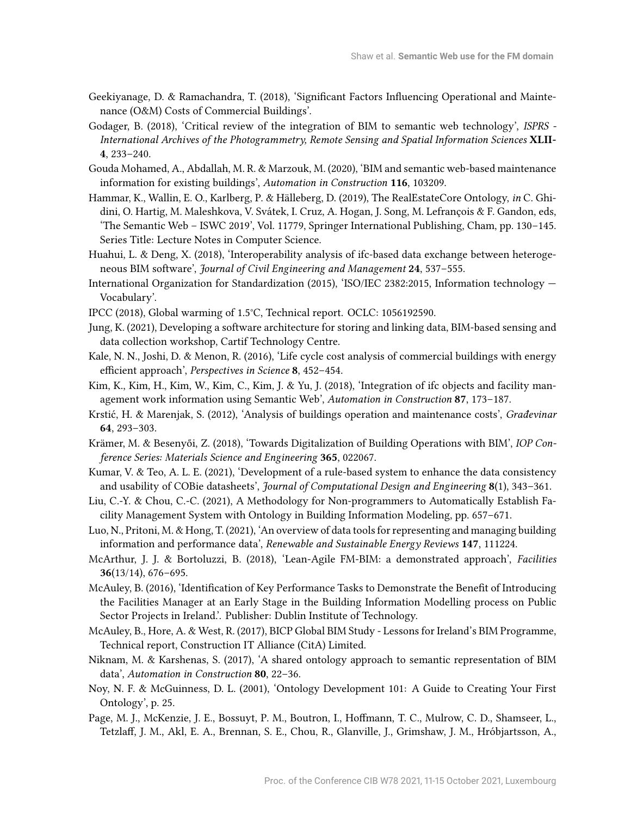- Geekiyanage, D. & Ramachandra, T. (2018), 'Significant Factors Influencing Operational and Maintenance (O&M) Costs of Commercial Buildings'.
- Godager, B. (2018), 'Critical review of the integration of BIM to semantic web technology', ISPRS International Archives of the Photogrammetry, Remote Sensing and Spatial Information Sciences XLII-4, 233–240.
- Gouda Mohamed, A., Abdallah, M. R. & Marzouk, M. (2020), 'BIM and semantic web-based maintenance information for existing buildings', Automation in Construction 116, 103209.
- Hammar, K., Wallin, E. O., Karlberg, P. & Hälleberg, D. (2019), The RealEstateCore Ontology, in C. Ghidini, O. Hartig, M. Maleshkova, V. Svátek, I. Cruz, A. Hogan, J. Song, M. Lefrançois & F. Gandon, eds, 'The Semantic Web – ISWC 2019', Vol. 11779, Springer International Publishing, Cham, pp. 130–145. Series Title: Lecture Notes in Computer Science.
- Huahui, L. & Deng, X. (2018), 'Interoperability analysis of ifc-based data exchange between heterogeneous BIM software', Journal of Civil Engineering and Management 24, 537–555.
- International Organization for Standardization (2015), 'ISO/IEC 2382:2015, Information technology Vocabulary'.
- IPCC (2018), Global warming of 1.5°C, Technical report. OCLC: 1056192590.
- Jung, K. (2021), Developing a software architecture for storing and linking data, BIM-based sensing and data collection workshop, Cartif Technology Centre.
- Kale, N. N., Joshi, D. & Menon, R. (2016), 'Life cycle cost analysis of commercial buildings with energy efficient approach', Perspectives in Science 8, 452-454.
- Kim, K., Kim, H., Kim, W., Kim, C., Kim, J. & Yu, J. (2018), 'Integration of ifc objects and facility management work information using Semantic Web', Automation in Construction 87, 173–187.
- Krstić, H. & Marenjak, S. (2012), 'Analysis of buildings operation and maintenance costs', Građevinar 64, 293–303.
- Krämer, M. & Besenyői, Z. (2018), 'Towards Digitalization of Building Operations with BIM', IOP Conference Series: Materials Science and Engineering 365, 022067.
- Kumar, V. & Teo, A. L. E. (2021), 'Development of a rule-based system to enhance the data consistency and usability of COBie datasheets', Journal of Computational Design and Engineering 8(1), 343-361.
- Liu, C.-Y. & Chou, C.-C. (2021), A Methodology for Non-programmers to Automatically Establish Facility Management System with Ontology in Building Information Modeling, pp. 657–671.
- Luo, N., Pritoni, M. & Hong, T. (2021), 'An overview of data tools for representing and managing building information and performance data', Renewable and Sustainable Energy Reviews 147, 111224.
- McArthur, J. J. & Bortoluzzi, B. (2018), 'Lean-Agile FM-BIM: a demonstrated approach', Facilities 36(13/14), 676–695.
- McAuley, B. (2016), 'Identification of Key Performance Tasks to Demonstrate the Benefit of Introducing the Facilities Manager at an Early Stage in the Building Information Modelling process on Public Sector Projects in Ireland.'. Publisher: Dublin Institute of Technology.
- McAuley, B., Hore, A. & West, R. (2017), BICP Global BIM Study Lessons for Ireland's BIM Programme, Technical report, Construction IT Alliance (CitA) Limited.
- Niknam, M. & Karshenas, S. (2017), 'A shared ontology approach to semantic representation of BIM data', Automation in Construction 80, 22–36.
- Noy, N. F. & McGuinness, D. L. (2001), 'Ontology Development 101: A Guide to Creating Your First Ontology', p. 25.
- Page, M. J., McKenzie, J. E., Bossuyt, P. M., Boutron, I., Hoffmann, T. C., Mulrow, C. D., Shamseer, L., Tetzlaff, J. M., Akl, E. A., Brennan, S. E., Chou, R., Glanville, J., Grimshaw, J. M., Hróbjartsson, A.,